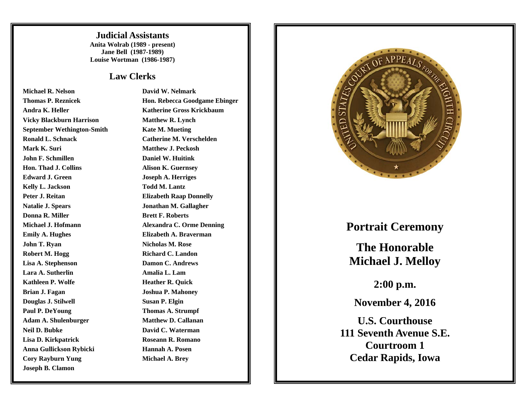**Judicial Assistants Anita Wolrab (1989 - present) Jane Bell (1987-1989) Louise Wortman (1986-1987)**

## **Law Clerks**

**Michael R. NelsonThomas P. Reznicek Andra K. HellerVicky Blackburn Harrison September Wethington-Smith Ronald L. Schnack Mark K. Suri John F. SchmillenHon. Thad J. CollinsEdward J. GreenKelly L. Jackson Peter J. ReitanNatalie J. Spears Donna R. MillerMichael J. Hofmann Emily A. Hughes John T. Ryan Robert M. Hogg Lisa A. Stephenson Lara A. SutherlinKathleen P. WolfeBrian J. Fagan Douglas J. Stilwell Paul P. DeYoung Adam A. Shulenburger Neil D. BubkeLisa D. Kirkpatrick Anna Gullickson Rybicki Cory Rayburn Yung Joseph B. Clamon**

 **David W. Nelmark Hon. Rebecca Goodgame Ebinger Katherine Gross Krickbaum Matthew R. Lynch Kate M. Mueting Catherine M. Verschelden Matthew J. Peckosh Daniel W. Huitink Alison K. Guernsey Joseph A. Herriges Todd M. Lantz Elizabeth Raap Donnelly Jonathan M. Gallagher Brett F. Roberts Alexandra C. Orme Denning Elizabeth A. Braverman Nicholas M. Rose Richard C. Landon Damon C. Andrews Amalia L. Lam Heather R. Quick Joshua P. Mahoney Susan P. Elgin Thomas A. Strumpf Matthew D. Callanan David C. Waterman Roseann R. Romano Hannah A. Posen Michael A. Brey**



## **Portrait Ceremony**

**The Honorable Michael J. Melloy** 

**2:00 p.m.** 

**November 4, 2016** 

**U.S. Courthouse 111 Seventh Avenue S.E. Courtroom 1 Cedar Rapids, Iowa**